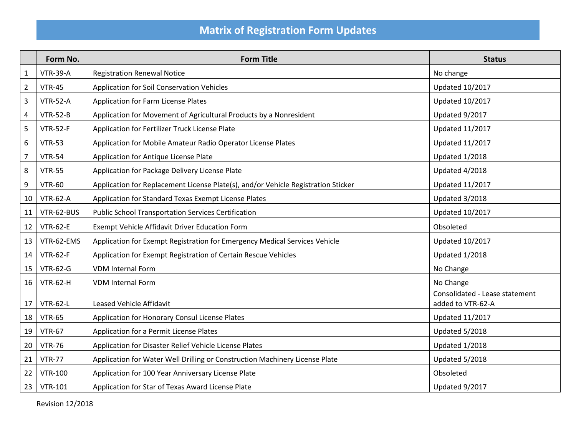## **Matrix of Registration Form Updates**

|                         | Form No.        | <b>Form Title</b>                                                                 | <b>Status</b>                                       |
|-------------------------|-----------------|-----------------------------------------------------------------------------------|-----------------------------------------------------|
| $\mathbf{1}$            | <b>VTR-39-A</b> | <b>Registration Renewal Notice</b>                                                | No change                                           |
| $\overline{2}$          | <b>VTR-45</b>   | Application for Soil Conservation Vehicles                                        | <b>Updated 10/2017</b>                              |
| $\mathsf 3$             | <b>VTR-52-A</b> | Application for Farm License Plates                                               | <b>Updated 10/2017</b>                              |
| $\overline{\mathbf{4}}$ | <b>VTR-52-B</b> | Application for Movement of Agricultural Products by a Nonresident                | Updated 9/2017                                      |
| 5                       | <b>VTR-52-F</b> | Application for Fertilizer Truck License Plate                                    | <b>Updated 11/2017</b>                              |
| 6                       | <b>VTR-53</b>   | Application for Mobile Amateur Radio Operator License Plates                      | <b>Updated 11/2017</b>                              |
| $\overline{7}$          | <b>VTR-54</b>   | Application for Antique License Plate                                             | Updated 1/2018                                      |
| 8                       | <b>VTR-55</b>   | Application for Package Delivery License Plate                                    | Updated 4/2018                                      |
| 9                       | <b>VTR-60</b>   | Application for Replacement License Plate(s), and/or Vehicle Registration Sticker | <b>Updated 11/2017</b>                              |
| 10                      | <b>VTR-62-A</b> | Application for Standard Texas Exempt License Plates                              | Updated 3/2018                                      |
| 11                      | VTR-62-BUS      | <b>Public School Transportation Services Certification</b>                        | <b>Updated 10/2017</b>                              |
| 12                      | <b>VTR-62-E</b> | Exempt Vehicle Affidavit Driver Education Form                                    | Obsoleted                                           |
| 13                      | VTR-62-EMS      | Application for Exempt Registration for Emergency Medical Services Vehicle        | <b>Updated 10/2017</b>                              |
| 14                      | <b>VTR-62-F</b> | Application for Exempt Registration of Certain Rescue Vehicles                    | Updated 1/2018                                      |
| 15                      | <b>VTR-62-G</b> | <b>VDM Internal Form</b>                                                          | No Change                                           |
| 16                      | <b>VTR-62-H</b> | <b>VDM Internal Form</b>                                                          | No Change                                           |
| 17                      | <b>VTR-62-L</b> | Leased Vehicle Affidavit                                                          | Consolidated - Lease statement<br>added to VTR-62-A |
| 18                      | <b>VTR-65</b>   | Application for Honorary Consul License Plates                                    | <b>Updated 11/2017</b>                              |
| 19                      | <b>VTR-67</b>   | Application for a Permit License Plates                                           | Updated 5/2018                                      |
| 20                      | <b>VTR-76</b>   | Application for Disaster Relief Vehicle License Plates                            | Updated 1/2018                                      |
| 21                      | <b>VTR-77</b>   | Application for Water Well Drilling or Construction Machinery License Plate       | Updated 5/2018                                      |
| 22                      | <b>VTR-100</b>  | Application for 100 Year Anniversary License Plate                                | Obsoleted                                           |
| 23                      | <b>VTR-101</b>  | Application for Star of Texas Award License Plate                                 | Updated 9/2017                                      |

Revision 12/2018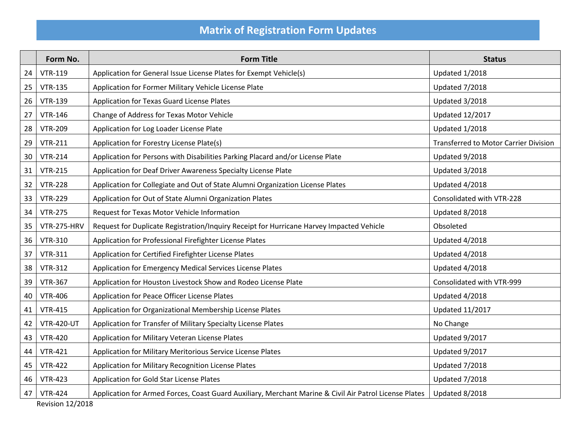## **Matrix of Registration Form Updates**

|    | Form No.                | <b>Form Title</b>                                                                                      | <b>Status</b>                                |  |  |
|----|-------------------------|--------------------------------------------------------------------------------------------------------|----------------------------------------------|--|--|
| 24 | <b>VTR-119</b>          | Application for General Issue License Plates for Exempt Vehicle(s)                                     | Updated 1/2018                               |  |  |
| 25 | <b>VTR-135</b>          | Application for Former Military Vehicle License Plate                                                  | Updated 7/2018                               |  |  |
| 26 | <b>VTR-139</b>          | Application for Texas Guard License Plates                                                             | Updated 3/2018                               |  |  |
| 27 | <b>VTR-146</b>          | Change of Address for Texas Motor Vehicle                                                              | <b>Updated 12/2017</b>                       |  |  |
| 28 | <b>VTR-209</b>          | Application for Log Loader License Plate                                                               | Updated 1/2018                               |  |  |
| 29 | <b>VTR-211</b>          | Application for Forestry License Plate(s)                                                              | <b>Transferred to Motor Carrier Division</b> |  |  |
| 30 | <b>VTR-214</b>          | Application for Persons with Disabilities Parking Placard and/or License Plate                         | Updated 9/2018                               |  |  |
| 31 | <b>VTR-215</b>          | Application for Deaf Driver Awareness Specialty License Plate                                          | Updated 3/2018                               |  |  |
| 32 | <b>VTR-228</b>          | Application for Collegiate and Out of State Alumni Organization License Plates                         | Updated 4/2018                               |  |  |
| 33 | <b>VTR-229</b>          | Application for Out of State Alumni Organization Plates                                                | Consolidated with VTR-228                    |  |  |
| 34 | <b>VTR-275</b>          | Request for Texas Motor Vehicle Information                                                            | Updated 8/2018                               |  |  |
| 35 | VTR-275-HRV             | Request for Duplicate Registration/Inquiry Receipt for Hurricane Harvey Impacted Vehicle               | Obsoleted                                    |  |  |
| 36 | <b>VTR-310</b>          | Application for Professional Firefighter License Plates                                                | Updated 4/2018                               |  |  |
| 37 | <b>VTR-311</b>          | Application for Certified Firefighter License Plates                                                   | Updated 4/2018                               |  |  |
| 38 | <b>VTR-312</b>          | Application for Emergency Medical Services License Plates                                              | Updated 4/2018                               |  |  |
| 39 | <b>VTR-367</b>          | Application for Houston Livestock Show and Rodeo License Plate                                         | Consolidated with VTR-999                    |  |  |
| 40 | <b>VTR-406</b>          | Application for Peace Officer License Plates                                                           | Updated 4/2018                               |  |  |
| 41 | <b>VTR-415</b>          | Application for Organizational Membership License Plates                                               | <b>Updated 11/2017</b>                       |  |  |
| 42 | <b>VTR-420-UT</b>       | Application for Transfer of Military Specialty License Plates                                          | No Change                                    |  |  |
| 43 | <b>VTR-420</b>          | Application for Military Veteran License Plates                                                        | Updated 9/2017                               |  |  |
| 44 | <b>VTR-421</b>          | Application for Military Meritorious Service License Plates                                            | Updated 9/2017                               |  |  |
| 45 | <b>VTR-422</b>          | Application for Military Recognition License Plates                                                    | Updated 7/2018                               |  |  |
| 46 | <b>VTR-423</b>          | Application for Gold Star License Plates                                                               | Updated 7/2018                               |  |  |
| 47 | <b>VTR-424</b>          | Application for Armed Forces, Coast Guard Auxiliary, Merchant Marine & Civil Air Patrol License Plates | Updated 8/2018                               |  |  |
|    | <b>Revision 12/2018</b> |                                                                                                        |                                              |  |  |